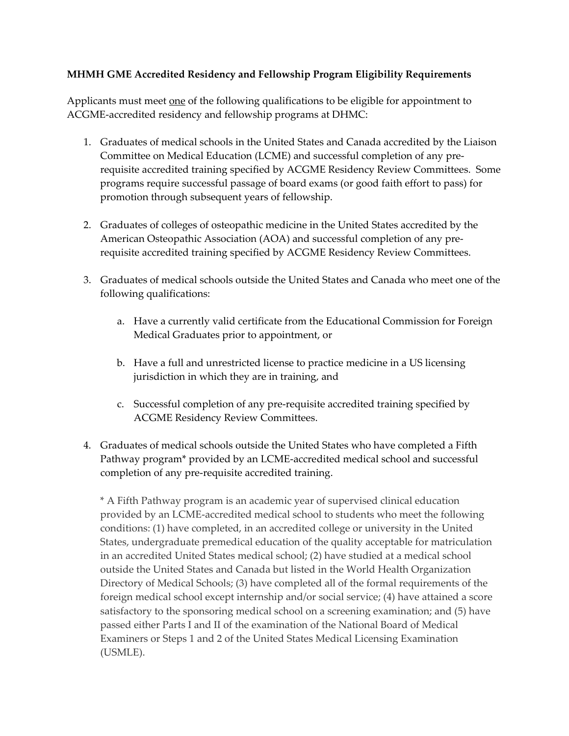## **MHMH GME Accredited Residency and Fellowship Program Eligibility Requirements**

Applicants must meet <u>one</u> of the following qualifications to be eligible for appointment to ACGME‐accredited residency and fellowship programs at DHMC:

- 1. Graduates of medical schools in the United States and Canada accredited by the Liaison Committee on Medical Education (LCME) and successful completion of any pre‐ requisite accredited training specified by ACGME Residency Review Committees. Some programs require successful passage of board exams (or good faith effort to pass) for promotion through subsequent years of fellowship.
- 2. Graduates of colleges of osteopathic medicine in the United States accredited by the American Osteopathic Association (AOA) and successful completion of any pre‐ requisite accredited training specified by ACGME Residency Review Committees.
- 3. Graduates of medical schools outside the United States and Canada who meet one of the following qualifications:
	- a. Have a currently valid certificate from the Educational Commission for Foreign Medical Graduates prior to appointment, or
	- b. Have a full and unrestricted license to practice medicine in a US licensing jurisdiction in which they are in training, and
	- c. Successful completion of any pre‐requisite accredited training specified by ACGME Residency Review Committees.
- 4. Graduates of medical schools outside the United States who have completed a Fifth Pathway program\* provided by an LCME‐accredited medical school and successful completion of any pre‐requisite accredited training.

\* A Fifth Pathway program is an academic year of supervised clinical education provided by an LCME‐accredited medical school to students who meet the following conditions: (1) have completed, in an accredited college or university in the United States, undergraduate premedical education of the quality acceptable for matriculation in an accredited United States medical school; (2) have studied at a medical school outside the United States and Canada but listed in the World Health Organization Directory of Medical Schools; (3) have completed all of the formal requirements of the foreign medical school except internship and/or social service; (4) have attained a score satisfactory to the sponsoring medical school on a screening examination; and (5) have passed either Parts I and II of the examination of the National Board of Medical Examiners or Steps 1 and 2 of the United States Medical Licensing Examination (USMLE).